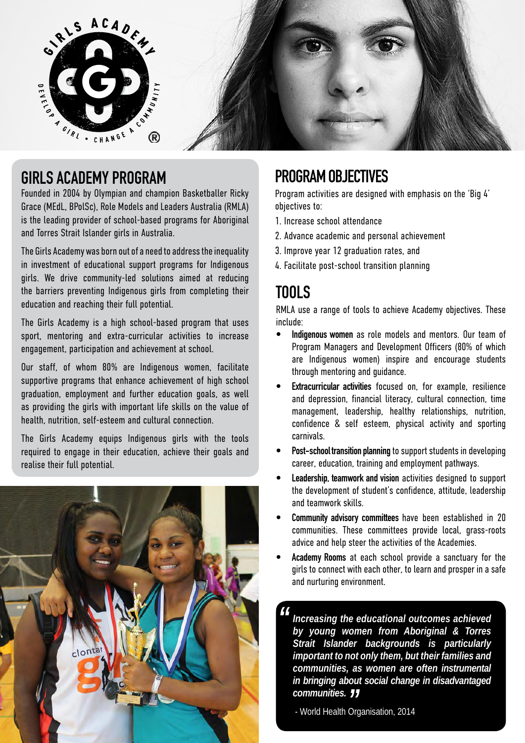

### **GIRLS ACADEMY PROGRAM**

Founded in 2004 by Olympian and champion Basketballer Ricky Grace (MEdL, BPolSc), Role Models and Leaders Australia (RMLA) is the leading provider of school-based programs for Aboriginal and Torres Strait Islander girls in Australia.

The Girls Academy was born out of a need to address the inequality in investment of educational support programs for Indigenous girls. We drive community-led solutions aimed at reducing the barriers preventing Indigenous girls from completing their education and reaching their full potential.

The Girls Academy is a high school-based program that uses sport, mentoring and extra-curricular activities to increase engagement, participation and achievement at school.

Our staff, of whom 80% are Indigenous women, facilitate supportive programs that enhance achievement of high school graduation, employment and further education goals, as well as providing the girls with important life skills on the value of health, nutrition, self-esteem and cultural connection.

The Girls Academy equips Indigenous girls with the tools required to engage in their education, achieve their goals and realise their full potential.



# **PROGRAM OBJECTIVES**

Program activities are designed with emphasis on the 'Big 4' objectives to:

- 1. Increase school attendance
- 2. Advance academic and personal achievement
- 3. Improve year 12 graduation rates, and
- 4. Facilitate post-school transition planning

# **TOOLS**

RMLA use a range of tools to achieve Academy objectives. These include:

- **• Indigenous women** as role models and mentors. Our team of Program Managers and Development Officers (80% of which are Indigenous women) inspire and encourage students through mentoring and guidance.
- **Extracurricular activities** focused on, for example, resilience and depression, financial literacy, cultural connection, time management, leadership, healthy relationships, nutrition, confidence & self esteem, physical activity and sporting carnivals.
- **• Post-school transition planning** to support students in developing career, education, training and employment pathways.
- **• Leadership, teamwork and vision** activities designed to support the development of student's confidence, attitude, leadership and teamwork skills.
- **• Community advisory committees** have been established in 20 communities. These committees provide local, grass-roots advice and help steer the activities of the Academies.
- **• Academy Rooms** at each school provide a sanctuary for the girls to connect with each other, to learn and prosper in a safe and nurturing environment.

*Increasing the educational outcomes achieved by young women from Aboriginal & Torres Strait Islander backgrounds is particularly important to not only them, but their families and communities, as women are often instrumental in bringing about social change in disadvantaged communities.* **communities. 77**<br>World Health Organisation, 2014 *"*